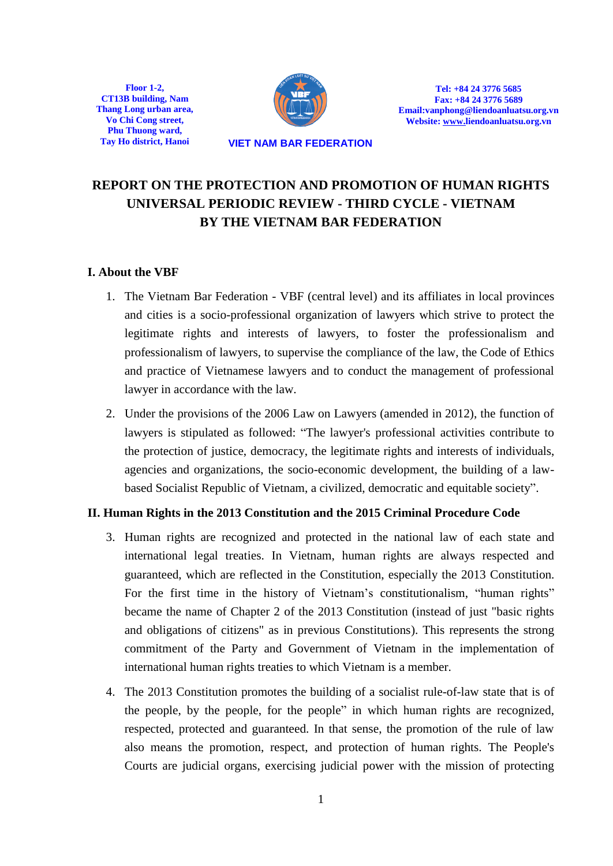**Floor 1-2, CT13B building, Nam Thang Long urban area, Vo Chi Cong street, Phu Thuong ward,** 



**Tel: +84 24 3776 5685 Fax: +84 24 3776 5689 Email:vanphong@liendoanluatsu.org.vn Website[: www.liendoanluatsu.org.vn](http://www.vava.org.vn/)**

**Tay Ho district, Hanoi VIET NAM BAR FEDERATION**

# **REPORT ON THE PROTECTION AND PROMOTION OF HUMAN RIGHTS UNIVERSAL PERIODIC REVIEW - THIRD CYCLE - VIETNAM BY THE VIETNAM BAR FEDERATION**

## **I. About the VBF**

- 1. The Vietnam Bar Federation VBF (central level) and its affiliates in local provinces and cities is a socio-professional organization of lawyers which strive to protect the legitimate rights and interests of lawyers, to foster the professionalism and professionalism of lawyers, to supervise the compliance of the law, the Code of Ethics and practice of Vietnamese lawyers and to conduct the management of professional lawyer in accordance with the law.
- 2. Under the provisions of the 2006 Law on Lawyers (amended in 2012), the function of lawyers is stipulated as followed: "The lawyer's professional activities contribute to the protection of justice, democracy, the legitimate rights and interests of individuals, agencies and organizations, the socio-economic development, the building of a lawbased Socialist Republic of Vietnam, a civilized, democratic and equitable society".

### **II. Human Rights in the 2013 Constitution and the 2015 Criminal Procedure Code**

- 3. Human rights are recognized and protected in the national law of each state and international legal treaties. In Vietnam, human rights are always respected and guaranteed, which are reflected in the Constitution, especially the 2013 Constitution. For the first time in the history of Vietnam's constitutionalism, "human rights" became the name of Chapter 2 of the 2013 Constitution (instead of just "basic rights and obligations of citizens" as in previous Constitutions). This represents the strong commitment of the Party and Government of Vietnam in the implementation of international human rights treaties to which Vietnam is a member.
- 4. The 2013 Constitution promotes the building of a socialist rule-of-law state that is of the people, by the people, for the people" in which human rights are recognized, respected, protected and guaranteed. In that sense, the promotion of the rule of law also means the promotion, respect, and protection of human rights. The People's Courts are judicial organs, exercising judicial power with the mission of protecting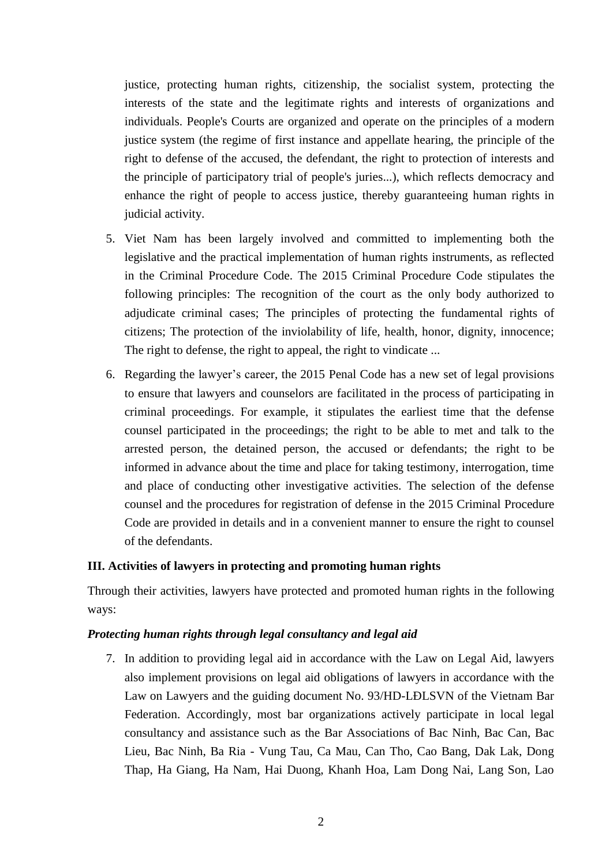justice, protecting human rights, citizenship, the socialist system, protecting the interests of the state and the legitimate rights and interests of organizations and individuals. People's Courts are organized and operate on the principles of a modern justice system (the regime of first instance and appellate hearing, the principle of the right to defense of the accused, the defendant, the right to protection of interests and the principle of participatory trial of people's juries...), which reflects democracy and enhance the right of people to access justice, thereby guaranteeing human rights in judicial activity.

- 5. Viet Nam has been largely involved and committed to implementing both the legislative and the practical implementation of human rights instruments, as reflected in the Criminal Procedure Code. The 2015 Criminal Procedure Code stipulates the following principles: The recognition of the court as the only body authorized to adjudicate criminal cases; The principles of protecting the fundamental rights of citizens; The protection of the inviolability of life, health, honor, dignity, innocence; The right to defense, the right to appeal, the right to vindicate ...
- 6. Regarding the lawyer's career, the 2015 Penal Code has a new set of legal provisions to ensure that lawyers and counselors are facilitated in the process of participating in criminal proceedings. For example, it stipulates the earliest time that the defense counsel participated in the proceedings; the right to be able to met and talk to the arrested person, the detained person, the accused or defendants; the right to be informed in advance about the time and place for taking testimony, interrogation, time and place of conducting other investigative activities. The selection of the defense counsel and the procedures for registration of defense in the 2015 Criminal Procedure Code are provided in details and in a convenient manner to ensure the right to counsel of the defendants.

### **III. Activities of lawyers in protecting and promoting human rights**

Through their activities, lawyers have protected and promoted human rights in the following ways:

### *Protecting human rights through legal consultancy and legal aid*

7. In addition to providing legal aid in accordance with the Law on Legal Aid, lawyers also implement provisions on legal aid obligations of lawyers in accordance with the Law on Lawyers and the guiding document No. 93/HD-LÐLSVN of the Vietnam Bar Federation. Accordingly, most bar organizations actively participate in local legal consultancy and assistance such as the Bar Associations of Bac Ninh, Bac Can, Bac Lieu, Bac Ninh, Ba Ria - Vung Tau, Ca Mau, Can Tho, Cao Bang, Dak Lak, Dong Thap, Ha Giang, Ha Nam, Hai Duong, Khanh Hoa, Lam Dong Nai, Lang Son, Lao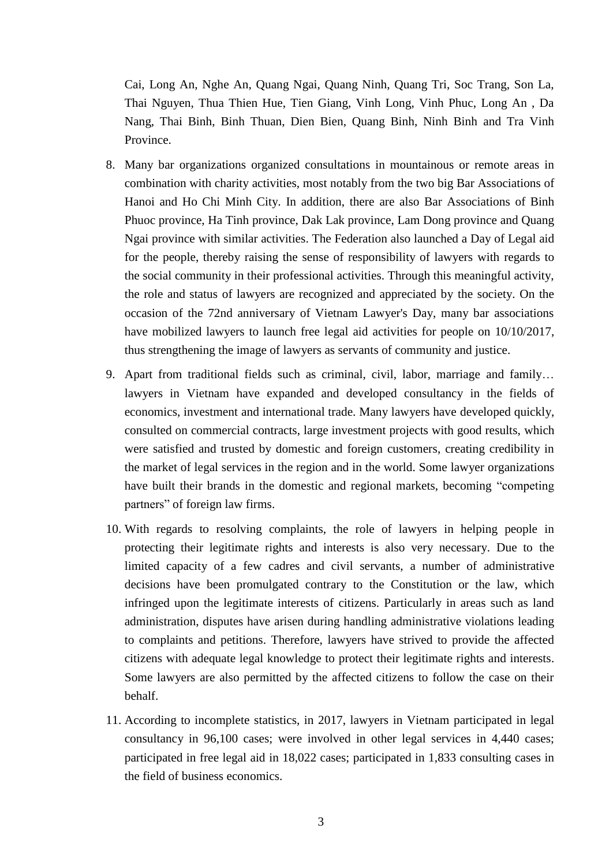Cai, Long An, Nghe An, Quang Ngai, Quang Ninh, Quang Tri, Soc Trang, Son La, Thai Nguyen, Thua Thien Hue, Tien Giang, Vinh Long, Vinh Phuc, Long An , Da Nang, Thai Binh, Binh Thuan, Dien Bien, Quang Binh, Ninh Binh and Tra Vinh Province.

- 8. Many bar organizations organized consultations in mountainous or remote areas in combination with charity activities, most notably from the two big Bar Associations of Hanoi and Ho Chi Minh City. In addition, there are also Bar Associations of Binh Phuoc province, Ha Tinh province, Dak Lak province, Lam Dong province and Quang Ngai province with similar activities. The Federation also launched a Day of Legal aid for the people, thereby raising the sense of responsibility of lawyers with regards to the social community in their professional activities. Through this meaningful activity, the role and status of lawyers are recognized and appreciated by the society. On the occasion of the 72nd anniversary of Vietnam Lawyer's Day, many bar associations have mobilized lawyers to launch free legal aid activities for people on 10/10/2017, thus strengthening the image of lawyers as servants of community and justice.
- 9. Apart from traditional fields such as criminal, civil, labor, marriage and family… lawyers in Vietnam have expanded and developed consultancy in the fields of economics, investment and international trade. Many lawyers have developed quickly, consulted on commercial contracts, large investment projects with good results, which were satisfied and trusted by domestic and foreign customers, creating credibility in the market of legal services in the region and in the world. Some lawyer organizations have built their brands in the domestic and regional markets, becoming "competing partners" of foreign law firms.
- 10. With regards to resolving complaints, the role of lawyers in helping people in protecting their legitimate rights and interests is also very necessary. Due to the limited capacity of a few cadres and civil servants, a number of administrative decisions have been promulgated contrary to the Constitution or the law, which infringed upon the legitimate interests of citizens. Particularly in areas such as land administration, disputes have arisen during handling administrative violations leading to complaints and petitions. Therefore, lawyers have strived to provide the affected citizens with adequate legal knowledge to protect their legitimate rights and interests. Some lawyers are also permitted by the affected citizens to follow the case on their behalf.
- 11. According to incomplete statistics, in 2017, lawyers in Vietnam participated in legal consultancy in 96,100 cases; were involved in other legal services in 4,440 cases; participated in free legal aid in 18,022 cases; participated in 1,833 consulting cases in the field of business economics.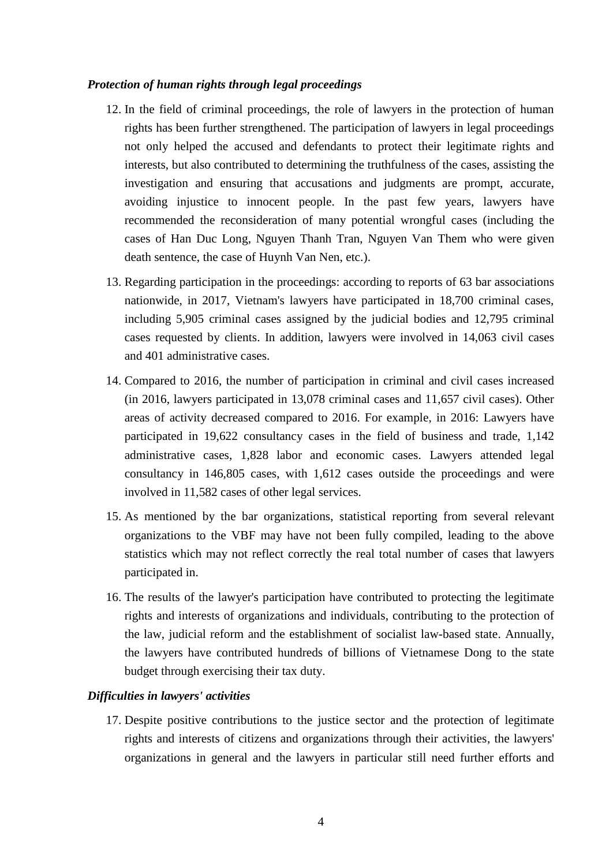#### *Protection of human rights through legal proceedings*

- 12. In the field of criminal proceedings, the role of lawyers in the protection of human rights has been further strengthened. The participation of lawyers in legal proceedings not only helped the accused and defendants to protect their legitimate rights and interests, but also contributed to determining the truthfulness of the cases, assisting the investigation and ensuring that accusations and judgments are prompt, accurate, avoiding injustice to innocent people. In the past few years, lawyers have recommended the reconsideration of many potential wrongful cases (including the cases of Han Duc Long, Nguyen Thanh Tran, Nguyen Van Them who were given death sentence, the case of Huynh Van Nen, etc.).
- 13. Regarding participation in the proceedings: according to reports of 63 bar associations nationwide, in 2017, Vietnam's lawyers have participated in 18,700 criminal cases, including 5,905 criminal cases assigned by the judicial bodies and 12,795 criminal cases requested by clients. In addition, lawyers were involved in 14,063 civil cases and 401 administrative cases.
- 14. Compared to 2016, the number of participation in criminal and civil cases increased (in 2016, lawyers participated in 13,078 criminal cases and 11,657 civil cases). Other areas of activity decreased compared to 2016. For example, in 2016: Lawyers have participated in 19,622 consultancy cases in the field of business and trade, 1,142 administrative cases, 1,828 labor and economic cases. Lawyers attended legal consultancy in 146,805 cases, with 1,612 cases outside the proceedings and were involved in 11,582 cases of other legal services.
- 15. As mentioned by the bar organizations, statistical reporting from several relevant organizations to the VBF may have not been fully compiled, leading to the above statistics which may not reflect correctly the real total number of cases that lawyers participated in.
- 16. The results of the lawyer's participation have contributed to protecting the legitimate rights and interests of organizations and individuals, contributing to the protection of the law, judicial reform and the establishment of socialist law-based state. Annually, the lawyers have contributed hundreds of billions of Vietnamese Dong to the state budget through exercising their tax duty.

### *Difficulties in lawyers' activities*

17. Despite positive contributions to the justice sector and the protection of legitimate rights and interests of citizens and organizations through their activities, the lawyers' organizations in general and the lawyers in particular still need further efforts and